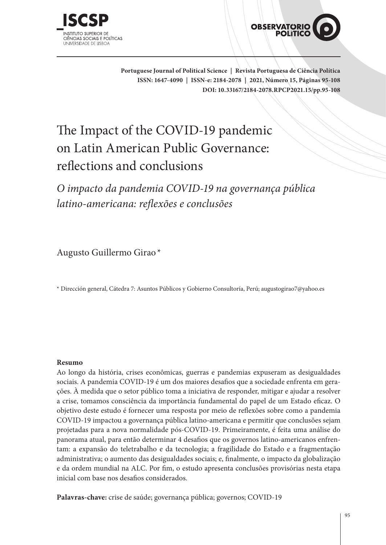



**Portuguese Journal of Political Science | Revista Portuguesa de Ciência Política ISSN: 1647-4090 | ISSN-e: 2184-2078 | 2021, Número 15, Páginas 95-108 DOI: 10.33167/2184-2078.RPCP2021.15/pp.95-108**

# The Impact of the COVID-19 pandemic on Latin American Public Governance: reflections and conclusions

*O impacto da pandemia COVID-19 na governança pública latino-americana: reflexões e conclusões*

Augusto Guillermo Girao\*

\* Dirección general, Cátedra 7: Asuntos Públicos y Gobierno Consultoría, Perú; augustogirao7@yahoo.es

#### **Resumo**

Ao longo da história, crises econômicas, guerras e pandemias expuseram as desigualdades sociais. A pandemia COVID-19 é um dos maiores desafios que a sociedade enfrenta em gerações. À medida que o setor público toma a iniciativa de responder, mitigar e ajudar a resolver a crise, tomamos consciência da importância fundamental do papel de um Estado eficaz. O objetivo deste estudo é fornecer uma resposta por meio de reflexões sobre como a pandemia COVID-19 impactou a governança pública latino-americana e permitir que conclusões sejam projetadas para a nova normalidade pós-COVID-19. Primeiramente, é feita uma análise do panorama atual, para então determinar 4 desafios que os governos latino-americanos enfrentam: a expansão do teletrabalho e da tecnologia; a fragilidade do Estado e a fragmentação administrativa; o aumento das desigualdades sociais; e, finalmente, o impacto da globalização e da ordem mundial na ALC. Por fim, o estudo apresenta conclusões provisórias nesta etapa inicial com base nos desafios considerados.

**Palavras-chave:** crise de saúde; governança pública; governos; COVID-19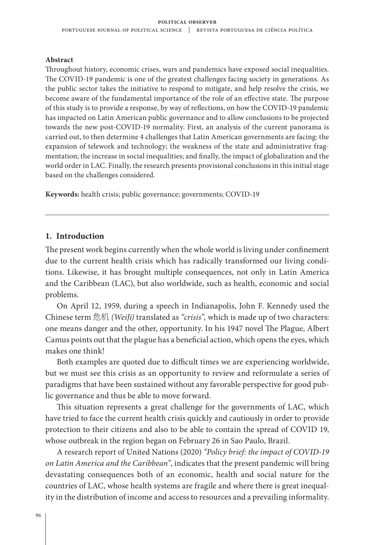#### **Abstract**

Throughout history, economic crises, wars and pandemics have exposed social inequalities. The COVID-19 pandemic is one of the greatest challenges facing society in generations. As the public sector takes the initiative to respond to mitigate, and help resolve the crisis, we become aware of the fundamental importance of the role of an effective state. The purpose of this study is to provide a response, by way of reflections, on how the COVID-19 pandemic has impacted on Latin American public governance and to allow conclusions to be projected towards the new post-COVID-19 normality. First, an analysis of the current panorama is carried out, to then determine 4 challenges that Latin American governments are facing: the expansion of telework and technology; the weakness of the state and administrative fragmentation; the increase in social inequalities; and finally, the impact of globalization and the world order in LAC. Finally, the research presents provisional conclusions in this initial stage based on the challenges considered.

**Keywords:** health crisis; public governance; governments; COVID-19

#### **1. Introduction**

The present work begins currently when the whole world is living under confinement due to the current health crisis which has radically transformed our living conditions. Likewise, it has brought multiple consequences, not only in Latin America and the Caribbean (LAC), but also worldwide, such as health, economic and social problems.

On April 12, 1959, during a speech in Indianapolis, John F. Kennedy used the Chinese term 危机 *(WeiJi)* translated as *"crisis",* which is made up of two characters: one means danger and the other, opportunity. In his 1947 novel The Plague, Albert Camus points out that the plague has a beneficial action, which opens the eyes, which makes one think!

Both examples are quoted due to difficult times we are experiencing worldwide, but we must see this crisis as an opportunity to review and reformulate a series of paradigms that have been sustained without any favorable perspective for good public governance and thus be able to move forward.

This situation represents a great challenge for the governments of LAC, which have tried to face the current health crisis quickly and cautiously in order to provide protection to their citizens and also to be able to contain the spread of COVID 19, whose outbreak in the region began on February 26 in Sao Paulo, Brazil.

A research report of United Nations (2020) *"Policy brief: the impact of COVID-19 on Latin America and the Caribbean"*, indicates that the present pandemic will bring devastating consequences both of an economic, health and social nature for the countries of LAC, whose health systems are fragile and where there is great inequality in the distribution of income and access to resources and a prevailing informality.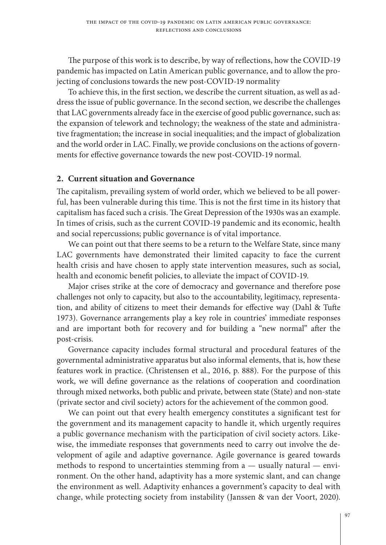The purpose of this work is to describe, by way of reflections, how the COVID-19 pandemic has impacted on Latin American public governance, and to allow the projecting of conclusions towards the new post-COVID-19 normality

To achieve this, in the first section, we describe the current situation, as well as address the issue of public governance. In the second section, we describe the challenges that LAC governments already face in the exercise of good public governance, such as: the expansion of telework and technology; the weakness of the state and administrative fragmentation; the increase in social inequalities; and the impact of globalization and the world order in LAC. Finally, we provide conclusions on the actions of governments for effective governance towards the new post-COVID-19 normal.

## **2. Current situation and Governance**

The capitalism, prevailing system of world order, which we believed to be all powerful, has been vulnerable during this time. This is not the first time in its history that capitalism has faced such a crisis. The Great Depression of the 1930s was an example. In times of crisis, such as the current COVID-19 pandemic and its economic, health and social repercussions; public governance is of vital importance.

We can point out that there seems to be a return to the Welfare State, since many LAC governments have demonstrated their limited capacity to face the current health crisis and have chosen to apply state intervention measures, such as social, health and economic benefit policies, to alleviate the impact of COVID-19.

Major crises strike at the core of democracy and governance and therefore pose challenges not only to capacity, but also to the accountability, legitimacy, representation, and ability of citizens to meet their demands for effective way (Dahl & Tufte 1973). Governance arrangements play a key role in countries' immediate responses and are important both for recovery and for building a "new normal" after the post-crisis.

Governance capacity includes formal structural and procedural features of the governmental administrative apparatus but also informal elements, that is, how these features work in practice. (Christensen et al., 2016, p. 888). For the purpose of this work, we will define governance as the relations of cooperation and coordination through mixed networks, both public and private, between state (State) and non-state (private sector and civil society) actors for the achievement of the common good.

We can point out that every health emergency constitutes a significant test for the government and its management capacity to handle it, which urgently requires a public governance mechanism with the participation of civil society actors. Likewise, the immediate responses that governments need to carry out involve the development of agile and adaptive governance. Agile governance is geared towards methods to respond to uncertainties stemming from  $a$  — usually natural — environment. On the other hand, adaptivity has a more systemic slant, and can change the environment as well. Adaptivity enhances a government's capacity to deal with change, while protecting society from instability (Janssen & van der Voort, 2020).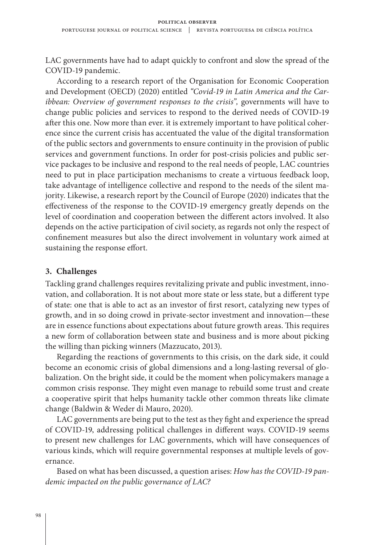LAC governments have had to adapt quickly to confront and slow the spread of the COVID-19 pandemic.

According to a research report of the Organisation for Economic Cooperation and Development (OECD) (2020) entitled *"Covid-19 in Latin America and the Caribbean: Overview of government responses to the crisis",* governments will have to change public policies and services to respond to the derived needs of COVID-19 after this one. Now more than ever. it is extremely important to have political coherence since the current crisis has accentuated the value of the digital transformation of the public sectors and governments to ensure continuity in the provision of public services and government functions. In order for post-crisis policies and public service packages to be inclusive and respond to the real needs of people, LAC countries need to put in place participation mechanisms to create a virtuous feedback loop, take advantage of intelligence collective and respond to the needs of the silent majority. Likewise, a research report by the Council of Europe (2020) indicates that the effectiveness of the response to the COVID-19 emergency greatly depends on the level of coordination and cooperation between the different actors involved. It also depends on the active participation of civil society, as regards not only the respect of confinement measures but also the direct involvement in voluntary work aimed at sustaining the response effort.

## **3. Challenges**

Tackling grand challenges requires revitalizing private and public investment, innovation, and collaboration. It is not about more state or less state, but a different type of state: one that is able to act as an investor of first resort, catalyzing new types of growth, and in so doing crowd in private-sector investment and innovation—these are in essence functions about expectations about future growth areas. This requires a new form of collaboration between state and business and is more about picking the willing than picking winners (Mazzucato, 2013).

Regarding the reactions of governments to this crisis, on the dark side, it could become an economic crisis of global dimensions and a long-lasting reversal of globalization. On the bright side, it could be the moment when policymakers manage a common crisis response. They might even manage to rebuild some trust and create a cooperative spirit that helps humanity tackle other common threats like climate change (Baldwin & Weder di Mauro, 2020).

LAC governments are being put to the test as they fight and experience the spread of COVID-19, addressing political challenges in different ways. COVID-19 seems to present new challenges for LAC governments, which will have consequences of various kinds, which will require governmental responses at multiple levels of governance.

Based on what has been discussed, a question arises: *How has the COVID-19 pandemic impacted on the public governance of LAC?*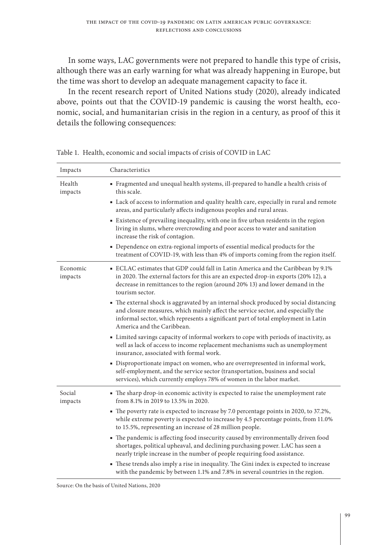In some ways, LAC governments were not prepared to handle this type of crisis, although there was an early warning for what was already happening in Europe, but the time was short to develop an adequate management capacity to face it.

In the recent research report of United Nations study (2020), already indicated above, points out that the COVID-19 pandemic is causing the worst health, economic, social, and humanitarian crisis in the region in a century, as proof of this it details the following consequences:

| Impacts             | Characteristics                                                                                                                                                                                                                                                                              |
|---------------------|----------------------------------------------------------------------------------------------------------------------------------------------------------------------------------------------------------------------------------------------------------------------------------------------|
| Health<br>impacts   | Fragmented and unequal health systems, ill-prepared to handle a health crisis of<br>this scale.                                                                                                                                                                                              |
|                     | • Lack of access to information and quality health care, especially in rural and remote<br>areas, and particularly affects indigenous peoples and rural areas.                                                                                                                               |
|                     | • Existence of prevailing inequality, with one in five urban residents in the region<br>living in slums, where overcrowding and poor access to water and sanitation<br>increase the risk of contagion.                                                                                       |
|                     | • Dependence on extra-regional imports of essential medical products for the<br>treatment of COVID-19, with less than 4% of imports coming from the region itself.                                                                                                                           |
| Economic<br>impacts | • ECLAC estimates that GDP could fall in Latin America and the Caribbean by 9.1%<br>in 2020. The external factors for this are an expected drop-in exports (20% 12), a<br>decrease in remittances to the region (around 20% 13) and lower demand in the<br>tourism sector.                   |
|                     | • The external shock is aggravated by an internal shock produced by social distancing<br>and closure measures, which mainly affect the service sector, and especially the<br>informal sector, which represents a significant part of total employment in Latin<br>America and the Caribbean. |
|                     | • Limited savings capacity of informal workers to cope with periods of inactivity, as<br>well as lack of access to income replacement mechanisms such as unemployment<br>insurance, associated with formal work.                                                                             |
|                     | • Disproportionate impact on women, who are overrepresented in informal work,<br>self-employment, and the service sector (transportation, business and social<br>services), which currently employs 78% of women in the labor market.                                                        |
| Social<br>impacts   | • The sharp drop-in economic activity is expected to raise the unemployment rate<br>from 8.1% in 2019 to 13.5% in 2020.                                                                                                                                                                      |
|                     | • The poverty rate is expected to increase by 7.0 percentage points in 2020, to 37.2%,<br>while extreme poverty is expected to increase by 4.5 percentage points, from 11.0%<br>to 15.5%, representing an increase of 28 million people.                                                     |
|                     | • The pandemic is affecting food insecurity caused by environmentally driven food<br>shortages, political upheaval, and declining purchasing power. LAC has seen a<br>nearly triple increase in the number of people requiring food assistance.                                              |
|                     | • These trends also imply a rise in inequality. The Gini index is expected to increase<br>with the pandemic by between 1.1% and 7.8% in several countries in the region.                                                                                                                     |

Table 1. Health, economic and social impacts of crisis of COVID in LAC

Source: On the basis of United Nations, 2020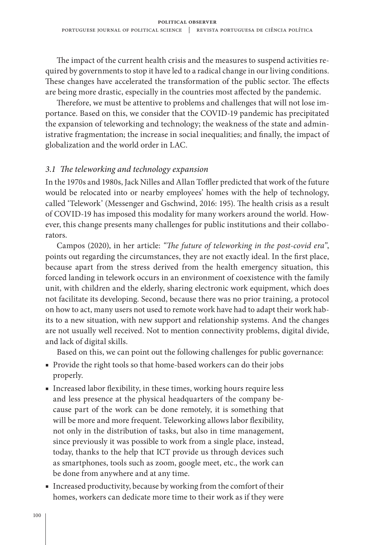The impact of the current health crisis and the measures to suspend activities required by governments to stop it have led to a radical change in our living conditions. These changes have accelerated the transformation of the public sector. The effects are being more drastic, especially in the countries most affected by the pandemic.

Therefore, we must be attentive to problems and challenges that will not lose importance. Based on this, we consider that the COVID-19 pandemic has precipitated the expansion of teleworking and technology; the weakness of the state and administrative fragmentation; the increase in social inequalities; and finally, the impact of globalization and the world order in LAC.

#### *3.1 The teleworking and technology expansion*

In the 1970s and 1980s, Jack Nilles and Allan Toffler predicted that work of the future would be relocated into or nearby employees' homes with the help of technology, called 'Telework' (Messenger and Gschwind, 2016: 195). The health crisis as a result of COVID-19 has imposed this modality for many workers around the world. However, this change presents many challenges for public institutions and their collaborators.

Campos (2020), in her article: *"The future of teleworking in the post-covid era"*, points out regarding the circumstances, they are not exactly ideal. In the first place, because apart from the stress derived from the health emergency situation, this forced landing in telework occurs in an environment of coexistence with the family unit, with children and the elderly, sharing electronic work equipment, which does not facilitate its developing. Second, because there was no prior training, a protocol on how to act, many users not used to remote work have had to adapt their work habits to a new situation, with new support and relationship systems. And the changes are not usually well received. Not to mention connectivity problems, digital divide, and lack of digital skills.

Based on this, we can point out the following challenges for public governance:

- Provide the right tools so that home-based workers can do their jobs properly.
- Increased labor flexibility, in these times, working hours require less and less presence at the physical headquarters of the company because part of the work can be done remotely, it is something that will be more and more frequent. Teleworking allows labor flexibility, not only in the distribution of tasks, but also in time management, since previously it was possible to work from a single place, instead, today, thanks to the help that ICT provide us through devices such as smartphones, tools such as zoom, google meet, etc., the work can be done from anywhere and at any time.
- Increased productivity, because by working from the comfort of their homes, workers can dedicate more time to their work as if they were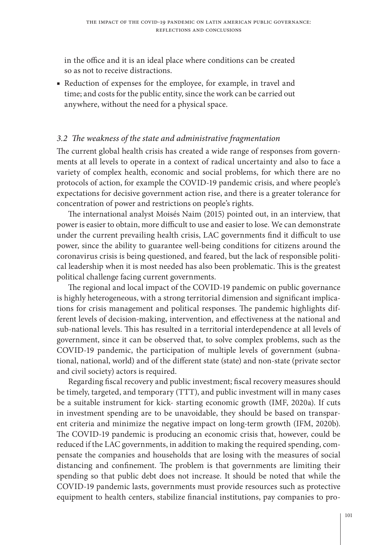in the office and it is an ideal place where conditions can be created so as not to receive distractions.

■ Reduction of expenses for the employee, for example, in travel and time; and costs for the public entity, since the work can be carried out anywhere, without the need for a physical space.

## *3.2 The weakness of the state and administrative fragmentation*

The current global health crisis has created a wide range of responses from governments at all levels to operate in a context of radical uncertainty and also to face a variety of complex health, economic and social problems, for which there are no protocols of action, for example the COVID-19 pandemic crisis, and where people's expectations for decisive government action rise, and there is a greater tolerance for concentration of power and restrictions on people's rights.

The international analyst Moisés Naim (2015) pointed out, in an interview, that power is easier to obtain, more difficult to use and easier to lose. We can demonstrate under the current prevailing health crisis, LAC governments find it difficult to use power, since the ability to guarantee well-being conditions for citizens around the coronavirus crisis is being questioned, and feared, but the lack of responsible political leadership when it is most needed has also been problematic. This is the greatest political challenge facing current governments.

The regional and local impact of the COVID-19 pandemic on public governance is highly heterogeneous, with a strong territorial dimension and significant implications for crisis management and political responses. The pandemic highlights different levels of decision-making, intervention, and effectiveness at the national and sub-national levels. This has resulted in a territorial interdependence at all levels of government, since it can be observed that, to solve complex problems, such as the COVID-19 pandemic, the participation of multiple levels of government (subnational, national, world) and of the different state (state) and non-state (private sector and civil society) actors is required.

Regarding fiscal recovery and public investment; fiscal recovery measures should be timely, targeted, and temporary (TTT), and public investment will in many cases be a suitable instrument for kick- starting economic growth (IMF, 2020a). If cuts in investment spending are to be unavoidable, they should be based on transparent criteria and minimize the negative impact on long-term growth (IFM, 2020b). The COVID-19 pandemic is producing an economic crisis that, however, could be reduced if the LAC governments, in addition to making the required spending, compensate the companies and households that are losing with the measures of social distancing and confinement. The problem is that governments are limiting their spending so that public debt does not increase. It should be noted that while the COVID-19 pandemic lasts, governments must provide resources such as protective equipment to health centers, stabilize financial institutions, pay companies to pro-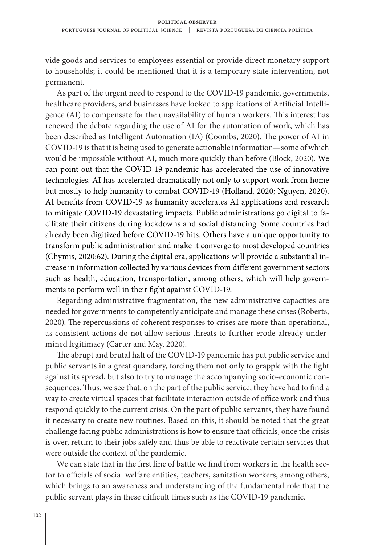vide goods and services to employees essential or provide direct monetary support to households; it could be mentioned that it is a temporary state intervention, not permanent.

As part of the urgent need to respond to the COVID-19 pandemic, governments, healthcare providers, and businesses have looked to applications of Artificial Intelligence (AI) to compensate for the unavailability of human workers. This interest has renewed the debate regarding the use of AI for the automation of work, which has been described as Intelligent Automation (IA) (Coombs, 2020). The power of AI in COVID-19 is that it is being used to generate actionable information—some of which would be impossible without AI, much more quickly than before (Block, 2020). We can point out that the COVID-19 pandemic has accelerated the use of innovative technologies. AI has accelerated dramatically not only to support work from home but mostly to help humanity to combat COVID-19 (Holland, 2020; Nguyen, 2020). AI benefits from COVID-19 as humanity accelerates AI applications and research to mitigate COVID-19 devastating impacts. Public administrations go digital to facilitate their citizens during lockdowns and social distancing. Some countries had already been digitized before COVID-19 hits. Others have a unique opportunity to transform public administration and make it converge to most developed countries (Chymis, 2020:62). During the digital era, applications will provide a substantial increase in information collected by various devices from different government sectors such as health, education, transportation, among others, which will help governments to perform well in their fight against COVID-19.

Regarding administrative fragmentation, the new administrative capacities are needed for governments to competently anticipate and manage these crises (Roberts, 2020). The repercussions of coherent responses to crises are more than operational, as consistent actions do not allow serious threats to further erode already undermined legitimacy (Carter and May, 2020).

The abrupt and brutal halt of the COVID-19 pandemic has put public service and public servants in a great quandary, forcing them not only to grapple with the fight against its spread, but also to try to manage the accompanying socio-economic consequences. Thus, we see that, on the part of the public service, they have had to find a way to create virtual spaces that facilitate interaction outside of office work and thus respond quickly to the current crisis. On the part of public servants, they have found it necessary to create new routines. Based on this, it should be noted that the great challenge facing public administrations is how to ensure that officials, once the crisis is over, return to their jobs safely and thus be able to reactivate certain services that were outside the context of the pandemic.

We can state that in the first line of battle we find from workers in the health sector to officials of social welfare entities, teachers, sanitation workers, among others, which brings to an awareness and understanding of the fundamental role that the public servant plays in these difficult times such as the COVID-19 pandemic.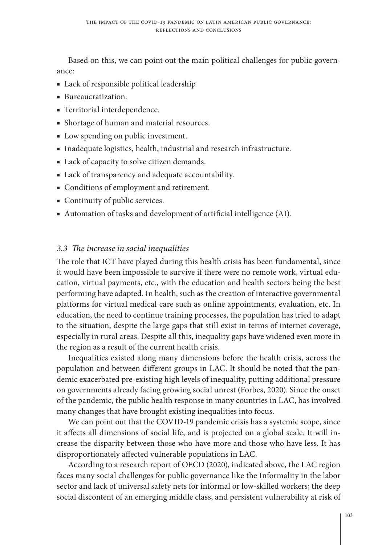Based on this, we can point out the main political challenges for public governance:

- Lack of responsible political leadership
- Bureaucratization.
- Territorial interdependence.
- Shortage of human and material resources.
- Low spending on public investment.
- Inadequate logistics, health, industrial and research infrastructure.
- Lack of capacity to solve citizen demands.
- Lack of transparency and adequate accountability.
- Conditions of employment and retirement.
- Continuity of public services.
- Automation of tasks and development of artificial intelligence (AI).

## *3.3 The increase in social inequalities*

The role that ICT have played during this health crisis has been fundamental, since it would have been impossible to survive if there were no remote work, virtual education, virtual payments, etc., with the education and health sectors being the best performing have adapted. In health, such as the creation of interactive governmental platforms for virtual medical care such as online appointments, evaluation, etc. In education, the need to continue training processes, the population has tried to adapt to the situation, despite the large gaps that still exist in terms of internet coverage, especially in rural areas. Despite all this, inequality gaps have widened even more in the region as a result of the current health crisis.

Inequalities existed along many dimensions before the health crisis, across the population and between different groups in LAC. It should be noted that the pandemic exacerbated pre-existing high levels of inequality, putting additional pressure on governments already facing growing social unrest (Forbes, 2020). Since the onset of the pandemic, the public health response in many countries in LAC, has involved many changes that have brought existing inequalities into focus.

We can point out that the COVID-19 pandemic crisis has a systemic scope, since it affects all dimensions of social life, and is projected on a global scale. It will increase the disparity between those who have more and those who have less. It has disproportionately affected vulnerable populations in LAC.

According to a research report of OECD (2020), indicated above, the LAC region faces many social challenges for public governance like the Informality in the labor sector and lack of universal safety nets for informal or low-skilled workers; the deep social discontent of an emerging middle class, and persistent vulnerability at risk of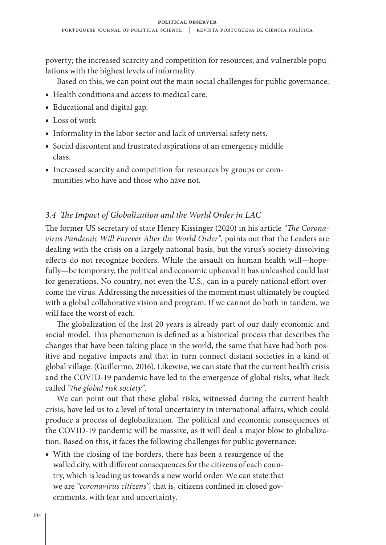poverty; the increased scarcity and competition for resources; and vulnerable populations with the highest levels of informality.

Based on this, we can point out the main social challenges for public governance:

- Health conditions and access to medical care.
- Educational and digital gap.
- Loss of work
- Informality in the labor sector and lack of universal safety nets.
- Social discontent and frustrated aspirations of an emergency middle class.
- Increased scarcity and competition for resources by groups or communities who have and those who have not.

## *3.4 The Impact of Globalization and the World Order in LAC*

The former US secretary of state Henry Kissinger (2020) in his article *"The Coronavirus Pandemic Will Forever Alter the World Order"*, points out that the Leaders are dealing with the crisis on a largely national basis, but the virus's society-dissolving effects do not recognize borders. While the assault on human health will—hopefully—be temporary, the political and economic upheaval it has unleashed could last for generations. No country, not even the U.S., can in a purely national effort overcome the virus. Addressing the necessities of the moment must ultimately be coupled with a global collaborative vision and program. If we cannot do both in tandem, we will face the worst of each.

The globalization of the last 20 years is already part of our daily economic and social model. This phenomenon is defined as a historical process that describes the changes that have been taking place in the world, the same that have had both positive and negative impacts and that in turn connect distant societies in a kind of global village. (Guillermo, 2016). Likewise, we can state that the current health crisis and the COVID-19 pandemic have led to the emergence of global risks, what Beck called *"the global risk society".*

We can point out that these global risks, witnessed during the current health crisis, have led us to a level of total uncertainty in international affairs, which could produce a process of deglobalization. The political and economic consequences of the COVID-19 pandemic will be massive, as it will deal a major blow to globalization. Based on this, it faces the following challenges for public governance:

■ With the closing of the borders, there has been a resurgence of the walled city, with different consequences for the citizens of each country, which is leading us towards a new world order. We can state that we are *"coronavirus citizens",* that is, citizens confined in closed governments, with fear and uncertainty.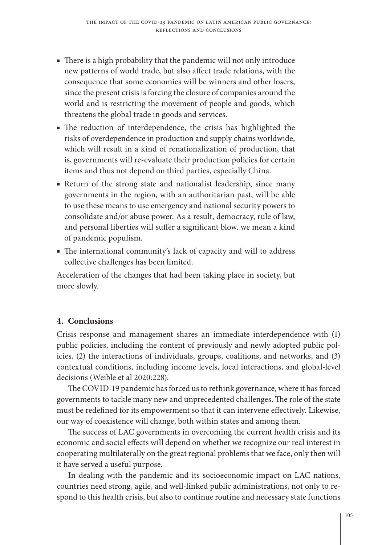- There is a high probability that the pandemic will not only introduce new patterns of world trade, but also affect trade relations, with the consequence that some economies will be winners and other losers, since the present crisis is forcing the closure of companies around the world and is restricting the movement of people and goods, which threatens the global trade in goods and services.
- The reduction of interdependence, the crisis has highlighted the risks of overdependence in production and supply chains worldwide, which will result in a kind of renationalization of production, that is, governments will re-evaluate their production policies for certain items and thus not depend on third parties, especially China.
- Return of the strong state and nationalist leadership, since many governments in the region, with an authoritarian past, will be able to use these means to use emergency and national security powers to consolidate and/or abuse power. As a result, democracy, rule of law, and personal liberties will suffer a significant blow. we mean a kind of pandemic populism.
- The international community's lack of capacity and will to address collective challenges has been limited.

Acceleration of the changes that had been taking place in society, but more slowly.

## **4. Conclusions**

Crisis response and management shares an immediate interdependence with (1) public policies, including the content of previously and newly adopted public policies, (2) the interactions of individuals, groups, coalitions, and networks, and (3) contextual conditions, including income levels, local interactions, and global-level decisions (Weible et al 2020:228).

The COVID-19 pandemic has forced us to rethink governance, where it has forced governments to tackle many new and unprecedented challenges. The role of the state must be redefined for its empowerment so that it can intervene effectively. Likewise, our way of coexistence will change, both within states and among them.

The success of LAC governments in overcoming the current health crisis and its economic and social effects will depend on whether we recognize our real interest in cooperating multilaterally on the great regional problems that we face, only then will it have served a useful purpose.

In dealing with the pandemic and its socioeconomic impact on LAC nations, countries need strong, agile, and well-linked public administrations, not only to respond to this health crisis, but also to continue routine and necessary state functions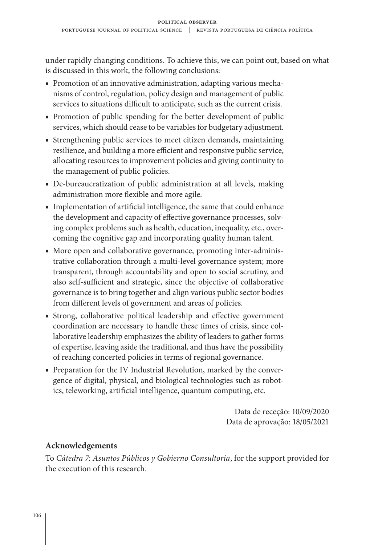under rapidly changing conditions. To achieve this, we can point out, based on what is discussed in this work, the following conclusions:

- Promotion of an innovative administration, adapting various mechanisms of control, regulation, policy design and management of public services to situations difficult to anticipate, such as the current crisis.
- Promotion of public spending for the better development of public services, which should cease to be variables for budgetary adjustment.
- Strengthening public services to meet citizen demands, maintaining resilience, and building a more efficient and responsive public service, allocating resources to improvement policies and giving continuity to the management of public policies.
- De-bureaucratization of public administration at all levels, making administration more flexible and more agile.
- Implementation of artificial intelligence, the same that could enhance the development and capacity of effective governance processes, solving complex problems such as health, education, inequality, etc., overcoming the cognitive gap and incorporating quality human talent.
- More open and collaborative governance, promoting inter-administrative collaboration through a multi-level governance system; more transparent, through accountability and open to social scrutiny, and also self-sufficient and strategic, since the objective of collaborative governance is to bring together and align various public sector bodies from different levels of government and areas of policies.
- Strong, collaborative political leadership and effective government coordination are necessary to handle these times of crisis, since collaborative leadership emphasizes the ability of leaders to gather forms of expertise, leaving aside the traditional, and thus have the possibility of reaching concerted policies in terms of regional governance.
- Preparation for the IV Industrial Revolution, marked by the convergence of digital, physical, and biological technologies such as robotics, teleworking, artificial intelligence, quantum computing, etc.

Data de receção: 10/09/2020 Data de aprovação: 18/05/2021

## **Acknowledgements**

To *Cátedra 7: Asuntos Públicos y Gobierno Consultoría*, for the support provided for the execution of this research.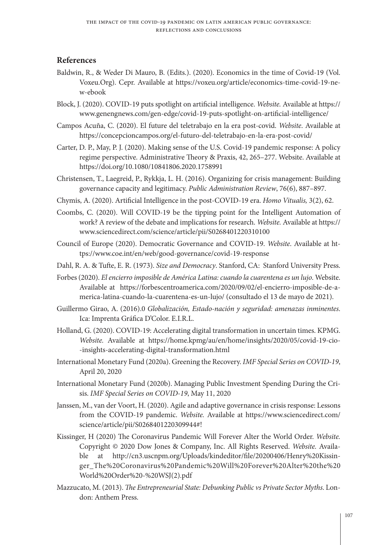#### **References**

- Baldwin, R., & Weder Di Mauro, B. (Edits.). (2020). Economics in the time of Covid-19 (Vol. Voxeu.Org). Cepr. Available at https://voxeu.org/article/economics-time-covid-19-new-ebook
- Block, J. (2020). COVID-19 puts spotlight on artificial intelligence. *Website.* Available at https:// www.genengnews.com/gen-edge/covid-19-puts-spotlight-on-artificial-intelligence/
- Campos Acuña, C. (2020). El future del teletrabajo en la era post-covid. *Website*. Available at https://concepcioncampos.org/el-futuro-del-teletrabajo-en-la-era-post-covid/
- Carter, D. P., May, P. J. (2020). Making sense of the U.S. Covid-19 pandemic response: A policy regime perspective. Administrative Theory & Praxis, 42, 265–277. Website. Available at https://doi.org/10.1080/10841806.2020.1758991
- Christensen, T., Laegreid, P., Rykkja, L. H. (2016). Organizing for crisis management: Building governance capacity and legitimacy. *Public Administration Review*, 76(6), 887–897.
- Chymis, A. (2020). Artificial Intelligence in the post-COVID-19 era. *Homo Vitualis,* 3(2), 62.
- Coombs, C. (2020). Will COVID-19 be the tipping point for the Intelligent Automation of work? A review of the debate and implications for research. *Website.* Available at https:// www.sciencedirect.com/science/article/pii/S0268401220310100
- Council of Europe (2020). Democratic Governance and COVID-19. *Website*. Available at https://www.coe.int/en/web/good-governance/covid-19-response
- Dahl, R. A. & Tufte, E. R. (1973). *Size and Democracy*. Stanford, CA: Stanford University Press.
- Forbes (2020). *El encierro imposible de América Latina: cuando la cuarentena es un lujo*. Website. Available at https://forbescentroamerica.com/2020/09/02/el-encierro-imposible-de-america-latina-cuando-la-cuarentena-es-un-lujo/ (consultado el 13 de mayo de 2021).
- Guillermo Girao, A. (2016).0 *Globalización, Estado-nación y seguridad: amenazas inminentes*. Ica: Imprenta Gráfica D'Color. E.I.R.L.
- Holland, G. (2020). COVID-19: Accelerating digital transformation in uncertain times. KPMG. *Website.* Available at https://home.kpmg/au/en/home/insights/2020/05/covid-19-cio- -insights-accelerating-digital-transformation.html
- International Monetary Fund (2020a). Greening the Recovery. *IMF Special Series on COVID-19*, April 20, 2020
- International Monetary Fund (2020b). Managing Public Investment Spending During the Crisis. *IMF Special Series on COVID-19*, May 11, 2020
- Janssen, M., van der Voort, H. (2020). Agile and adaptive governance in crisis response: Lessons from the COVID-19 pandemic. *Website.* Available at https://www.sciencedirect.com/ science/article/pii/S0268401220309944#!
- Kissinger, H (2020) The Coronavirus Pandemic Will Forever Alter the World Order. *Website.* Copyright © 2020 Dow Jones & Company, Inc. All Rights Reserved. *Website.* Available at http://cn3.uscnpm.org/Uploads/kindeditor/file/20200406/Henry%20Kissinger\_The%20Coronavirus%20Pandemic%20Will%20Forever%20Alter%20the%20 World%20Order%20-%20WSJ(2).pdf
- Mazzucato, M. (2013). *The Entrepreneurial State: Debunking Public vs Private Sector Myths*. London: Anthem Press.